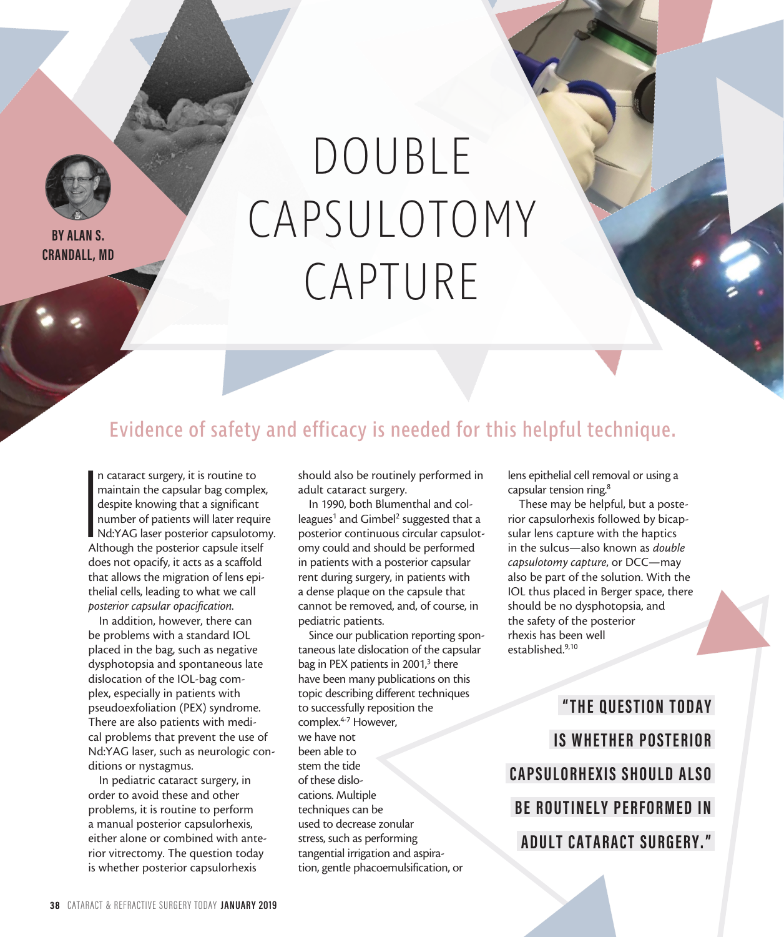

**BY ALAN S. CRANDALL, MD**

## DOUBLE CAPSULOTOMY CAPTURE

## Evidence of safety and efficacy is needed for this helpful technique.

**I**<br>I<br>Al n cataract surgery, it is routine to maintain the capsular bag complex, despite knowing that a significant number of patients will later require Nd:YAG laser posterior capsulotomy. Although the posterior capsule itself does not opacify, it acts as a scaffold that allows the migration of lens epithelial cells, leading to what we call *posterior capsular opacification*.

In addition, however, there can be problems with a standard IOL placed in the bag, such as negative dysphotopsia and spontaneous late dislocation of the IOL-bag complex, especially in patients with pseudoexfoliation (PEX) syndrome. There are also patients with medical problems that prevent the use of Nd:YAG laser, such as neurologic conditions or nystagmus.

In pediatric cataract surgery, in order to avoid these and other problems, it is routine to perform a manual posterior capsulorhexis, either alone or combined with anterior vitrectomy. The question today is whether posterior capsulorhexis

should also be routinely performed in adult cataract surgery.

In 1990, both Blumenthal and colleagues<sup>1</sup> and Gimbel<sup>2</sup> suggested that a posterior continuous circular capsulotomy could and should be performed in patients with a posterior capsular rent during surgery, in patients with a dense plaque on the capsule that cannot be removed, and, of course, in pediatric patients.

Since our publication reporting spontaneous late dislocation of the capsular bag in PEX patients in 2001,<sup>3</sup> there have been many publications on this topic describing different techniques to successfully reposition the complex.<sup>4-7</sup> However, we have not been able to stem the tide of these dislocations. Multiple techniques can be used to decrease zonular stress, such as performing tangential irrigation and aspiration, gentle phacoemulsification, or

lens epithelial cell removal or using a capsular tension ring.8

These may be helpful, but a posterior capsulorhexis followed by bicapsular lens capture with the haptics in the sulcus—also known as *double capsulotomy capture*, or DCC—may also be part of the solution. With the IOL thus placed in Berger space, there should be no dysphotopsia, and the safety of the posterior rhexis has been well established.9,10

**"THE QUESTION TODAY IS WHETHER POSTERIOR CAPSULORHEXIS SHOULD ALSO BE ROUTINELY PERFORMED IN ADULT CATARACT SURGERY."**